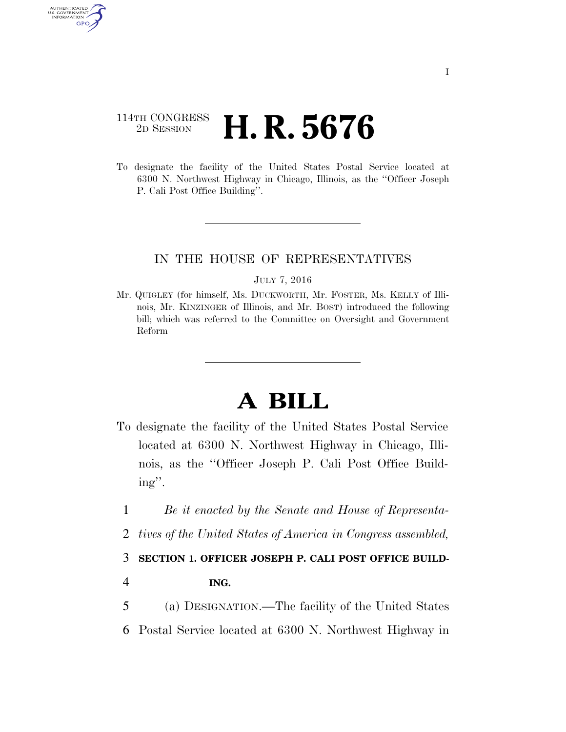# 114TH CONGRESS <sup>2D SESSION</sup> **H. R. 5676**

AUTHENTICATED U.S. GOVERNMENT GPO

> To designate the facility of the United States Postal Service located at 6300 N. Northwest Highway in Chicago, Illinois, as the ''Officer Joseph P. Cali Post Office Building''.

## IN THE HOUSE OF REPRESENTATIVES

#### JULY 7, 2016

Mr. QUIGLEY (for himself, Ms. DUCKWORTH, Mr. FOSTER, Ms. KELLY of Illinois, Mr. KINZINGER of Illinois, and Mr. BOST) introduced the following bill; which was referred to the Committee on Oversight and Government Reform

# **A BILL**

- To designate the facility of the United States Postal Service located at 6300 N. Northwest Highway in Chicago, Illinois, as the ''Officer Joseph P. Cali Post Office Building''.
	- 1 *Be it enacted by the Senate and House of Representa-*
	- 2 *tives of the United States of America in Congress assembled,*

### 3 **SECTION 1. OFFICER JOSEPH P. CALI POST OFFICE BUILD-**

- 4 **ING.**
- 5 (a) DESIGNATION.—The facility of the United States
- 6 Postal Service located at 6300 N. Northwest Highway in